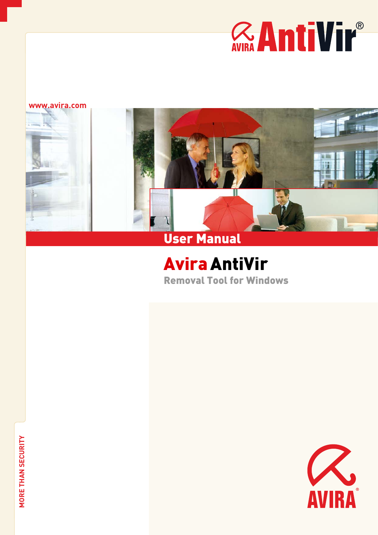# *RANTIVIL®*

#### **www.avira.com**



# AviraAntiVir Removal Tool for Windows

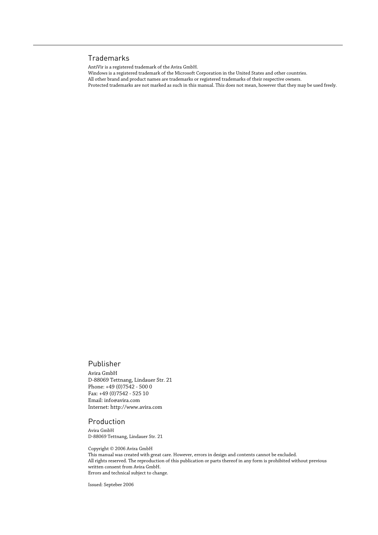#### Trademarks

AntiVir is a registered trademark of the Avira GmbH.

Windows is a registered trademark of the Microsoft Corporation in the United States and other countries.

All other brand and product names are trademarks or registered trademarks of their respective owners.

Protected trademarks are not marked as such in this manual. This does not mean, however that they may be used freely.

#### Publisher

Avira GmbH D-88069 Tettnang, Lindauer Str. 21 Phone: +49 (0)7542 - 500 0 Fax: +49 (0)7542 - 525 10 Email: info@avira.com Internet: http://www.avira.com

#### Production

Avira GmbH D-88069 Tettnang, Lindauer Str. 21

Copyright © 2006 Avira GmbH This manual was created with great care. However, errors in design and contents cannot be excluded. All rights reserved. The reproduction of this publication or parts thereof in any form is prohibited without previous written consent from Avira GmbH. Errors and technical subject to change.

Issued: Septeber 2006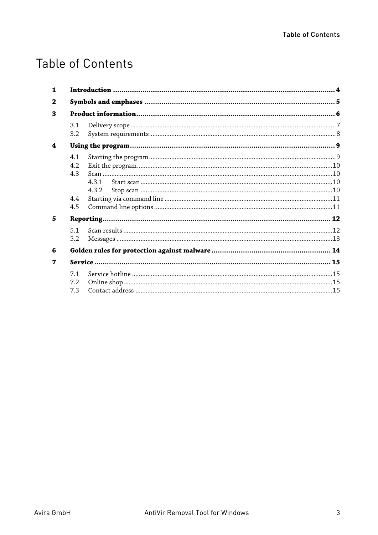# **Table of Contents**

| 3.1<br>3.2                      |              |  |
|---------------------------------|--------------|--|
| 4.1<br>4.2<br>4.3<br>4.4<br>4.5 | 431<br>4.3.2 |  |
| 5.1<br>5.2                      |              |  |
|                                 |              |  |
|                                 |              |  |
| 71<br>7.2<br>7.3                |              |  |
|                                 |              |  |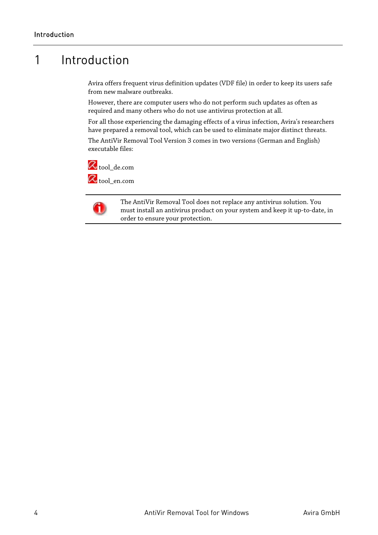# <span id="page-5-0"></span>1 Introduction

Avira offers frequent virus definition updates (VDF file) in order to keep its users safe from new malware outbreaks.

However, there are computer users who do not perform such updates as often as required and many others who do not use antivirus protection at all.

For all those experiencing the damaging effects of a virus infection, Avira's researchers have prepared a removal tool, which can be used to eliminate major distinct threats.

The AntiVir Removal Tool Version 3 comes in two versions (German and English) executable files:





The AntiVir Removal Tool does not replace any antivirus solution. You must install an antivirus product on your system and keep it up-to-date, in order to ensure your protection.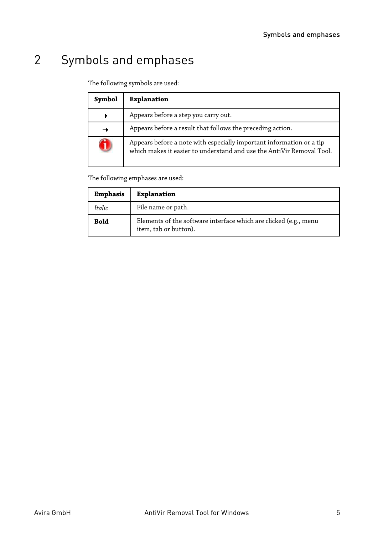# <span id="page-6-0"></span>2 Symbols and emphases

The following symbols are used:

| Symbol | <b>Explanation</b>                                                                                                                            |
|--------|-----------------------------------------------------------------------------------------------------------------------------------------------|
|        | Appears before a step you carry out.                                                                                                          |
|        | Appears before a result that follows the preceding action.                                                                                    |
|        | Appears before a note with especially important information or a tip<br>which makes it easier to understand and use the AntiVir Removal Tool. |

The following emphases are used:

| <b>Emphasis</b> | <b>Explanation</b>                                                                        |
|-----------------|-------------------------------------------------------------------------------------------|
| Italic          | File name or path.                                                                        |
| <b>Bold</b>     | Elements of the software interface which are clicked (e.g., menu<br>item, tab or button). |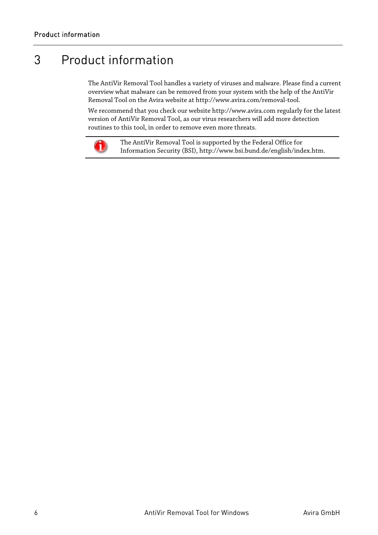# <span id="page-7-0"></span>3 Product information

The AntiVir Removal Tool handles a variety of viruses and malware. Please find a current overview what malware can be removed from your system with the help of the AntiVir Removal Tool on the Avira website at http://www.avira.com/removal-tool.

We recommend that you check our website http://www.avira.com regularly for the latest version of AntiVir Removal Tool, as our virus researchers will add more detection routines to this tool, in order to remove even more threats.



The AntiVir Removal Tool is supported by the Federal Office for Information Security (BSI), http://www.bsi.bund.de/english/index.htm.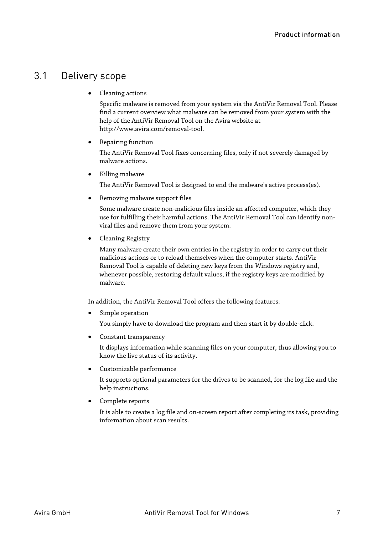## <span id="page-8-0"></span>3.1 Delivery scope

• Cleaning actions

Specific malware is removed from your system via the AntiVir Removal Tool. Please find a current overview what malware can be removed from your system with the help of the AntiVir Removal Tool on the Avira website at http://www.avira.com/removal-tool.

• Repairing function

The AntiVir Removal Tool fixes concerning files, only if not severely damaged by malware actions.

• Killing malware

The AntiVir Removal Tool is designed to end the malware's active process(es).

• Removing malware support files

Some malware create non-malicious files inside an affected computer, which they use for fulfilling their harmful actions. The AntiVir Removal Tool can identify nonviral files and remove them from your system.

• Cleaning Registry

Many malware create their own entries in the registry in order to carry out their malicious actions or to reload themselves when the computer starts. AntiVir Removal Tool is capable of deleting new keys from the Windows registry and, whenever possible, restoring default values, if the registry keys are modified by malware.

In addition, the AntiVir Removal Tool offers the following features:

Simple operation

You simply have to download the program and then start it by double-click.

• Constant transparency

It displays information while scanning files on your computer, thus allowing you to know the live status of its activity.

• Customizable performance

It supports optional parameters for the drives to be scanned, for the log file and the help instructions.

• Complete reports

It is able to create a log file and on-screen report after completing its task, providing information about scan results.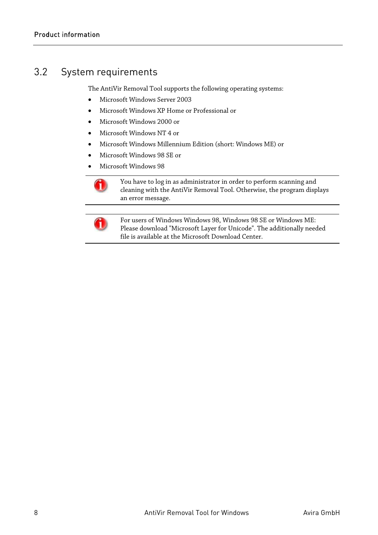## <span id="page-9-0"></span>3.2 System requirements

The AntiVir Removal Tool supports the following operating systems:

- Microsoft Windows Server 2003
- Microsoft Windows XP Home or Professional or
- Microsoft Windows 2000 or
- Microsoft Windows NT 4 or
- Microsoft Windows Millennium Edition (short: Windows ME) or
- Microsoft Windows 98 SE or
- Microsoft Windows 98



You have to log in as administrator in order to perform scanning and cleaning with the AntiVir Removal Tool. Otherwise, the program displays an error message.



For users of Windows Windows 98, Windows 98 SE or Windows ME: Please download "Microsoft Layer for Unicode". The additionally needed file is available at the Microsoft Download Center.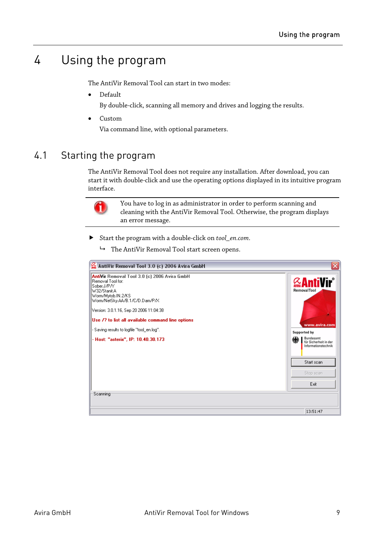# <span id="page-10-0"></span>4 Using the program

The AntiVir Removal Tool can start in two modes:

• Default

By double-click, scanning all memory and drives and logging the results.

• Custom

Via command line, with optional parameters.

## 4.1 Starting the program

The AntiVir Removal Tool does not require any installation. After download, you can start it with double-click and use the operating options displayed in its intuitive program interface.



You have to log in as administrator in order to perform scanning and cleaning with the AntiVir Removal Tool. Otherwise, the program displays an error message.

- f Start the program with a double-click on *tool\_en.com*.
	- $\rightarrow$  The AntiVir Removal Tool start screen opens.

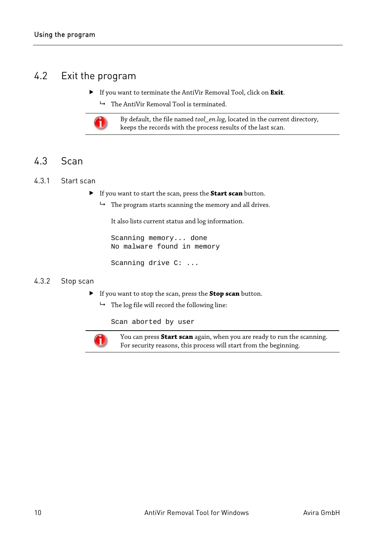## <span id="page-11-0"></span>4.2 Exit the program

- f If you want to terminate the AntiVir Removal Tool, click on **Exit**.
	- $\rightarrow$  The AntiVir Removal Tool is terminated.



By default, the file named *tool\_en.log*, located in the current directory, keeps the records with the process results of the last scan.

## 4.3 Scan

#### 4.3.1 Start scan

- f If you want to start the scan, press the **Start scan** button.
	- $\rightarrow$  The program starts scanning the memory and all drives.

It also lists current status and log information.

Scanning memory... done No malware found in memory

Scanning drive C: ...

#### 4.3.2 Stop scan

- f If you want to stop the scan, press the **Stop scan** button.
	- $ightharpoonup$  The log file will record the following line:

Scan aborted by user



You can press **Start scan** again, when you are ready to run the scanning. For security reasons, this process will start from the beginning.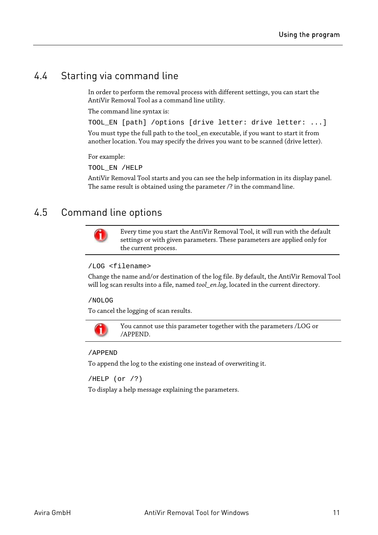# <span id="page-12-0"></span>4.4 Starting via command line

In order to perform the removal process with different settings, you can start the AntiVir Removal Tool as a command line utility.

The command line syntax is:

TOOL\_EN [path] /options [drive letter: drive letter: ...] You must type the full path to the tool\_en executable, if you want to start it from another location. You may specify the drives you want to be scanned (drive letter).

For example:

TOOL\_EN /HELP

AntiVir Removal Tool starts and you can see the help information in its display panel. The same result is obtained using the parameter /? in the command line.

### 4.5 Command line options



Every time you start the AntiVir Removal Tool, it will run with the default settings or with given parameters. These parameters are applied only for the current process.

/LOG <filename>

Change the name and/or destination of the log file. By default, the AntiVir Removal Tool will log scan results into a file, named *tool\_en.log*, located in the current directory.

/NOLOG

To cancel the logging of scan results.



You cannot use this parameter together with the parameters /LOG or /APPEND.

/APPEND

To append the log to the existing one instead of overwriting it.

/HELP (or /?)

To display a help message explaining the parameters.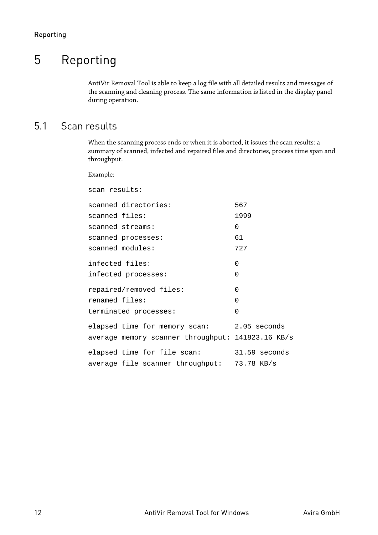# <span id="page-13-0"></span>5 Reporting

AntiVir Removal Tool is able to keep a log file with all detailed results and messages of the scanning and cleaning process. The same information is listed in the display panel during operation.

# 5.1 Scan results

When the scanning process ends or when it is aborted, it issues the scan results: a summary of scanned, infected and repaired files and directories, process time span and throughput.

Example:

| scan results:                                     |               |
|---------------------------------------------------|---------------|
| scanned directories:                              | 567           |
| scanned files:                                    | 1999          |
| scanned streams:                                  | 0             |
| scanned processes:                                | 61            |
| scanned modules:                                  | 727           |
| infected files:<br>infected processes:            | 0<br>0        |
|                                                   |               |
| repaired/removed files:                           | 0             |
| renamed files:                                    | $\Omega$      |
| terminated processes:                             | 0             |
| elapsed time for memory scan:                     | 2.05 seconds  |
| average memory scanner throughput: 141823.16 KB/s |               |
| elapsed time for file scan:                       | 31.59 seconds |
| average file scanner throughput: 73.78 KB/s       |               |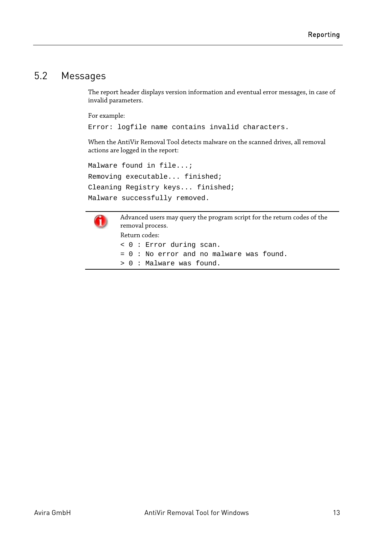## <span id="page-14-0"></span>5.2 Messages

The report header displays version information and eventual error messages, in case of invalid parameters.

For example:

Error: logfile name contains invalid characters.

When the AntiVir Removal Tool detects malware on the scanned drives, all removal actions are logged in the report:

```
Malware found in file...;
Removing executable... finished;
Cleaning Registry keys... finished;
Malware successfully removed.
```


Advanced users may query the program script for the return codes of the removal process. Return codes: < 0 : Error during scan. = 0 : No error and no malware was found. > 0 : Malware was found.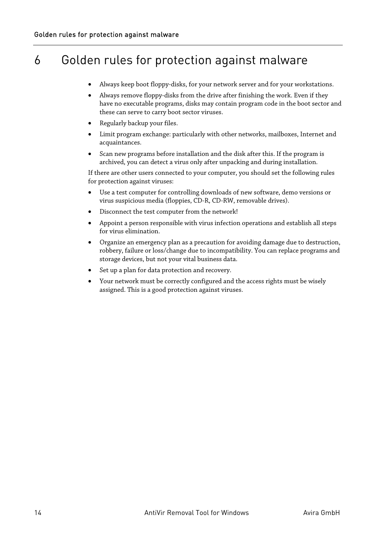# <span id="page-15-0"></span>6 Golden rules for protection against malware

- Always keep boot floppy-disks, for your network server and for your workstations.
- Always remove floppy-disks from the drive after finishing the work. Even if they have no executable programs, disks may contain program code in the boot sector and these can serve to carry boot sector viruses.
- Regularly backup your files.
- Limit program exchange: particularly with other networks, mailboxes, Internet and acquaintances.
- Scan new programs before installation and the disk after this. If the program is archived, you can detect a virus only after unpacking and during installation.

If there are other users connected to your computer, you should set the following rules for protection against viruses:

- Use a test computer for controlling downloads of new software, demo versions or virus suspicious media (floppies, CD-R, CD-RW, removable drives).
- Disconnect the test computer from the network!
- Appoint a person responsible with virus infection operations and establish all steps for virus elimination.
- Organize an emergency plan as a precaution for avoiding damage due to destruction, robbery, failure or loss/change due to incompatibility. You can replace programs and storage devices, but not your vital business data.
- Set up a plan for data protection and recovery.
- Your network must be correctly configured and the access rights must be wisely assigned. This is a good protection against viruses.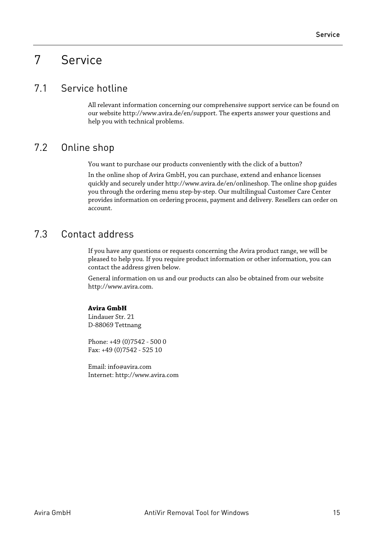# <span id="page-16-0"></span>7 Service

## 7.1 Service hotline

All relevant information concerning our comprehensive support service can be found on our website http://www.avira.de/en/support. The experts answer your questions and help you with technical problems.

# 7.2 Online shop

You want to purchase our products conveniently with the click of a button?

In the online shop of Avira GmbH, you can purchase, extend and enhance licenses quickly and securely under http://www.avira.de/en/onlineshop. The online shop guides you through the ordering menu step-by-step. Our multilingual Customer Care Center provides information on ordering process, payment and delivery. Resellers can order on account.

## 7.3 Contact address

If you have any questions or requests concerning the Avira product range, we will be pleased to help you. If you require product information or other information, you can contact the address given below.

General information on us and our products can also be obtained from our website http://www.avira.com.

#### **Avira GmbH**

Lindauer Str. 21 D-88069 Tettnang

Phone: +49 (0)7542 - 500 0 Fax: +49 (0)7542 - 525 10

Email: info@avira.com Internet: http://www.avira.com